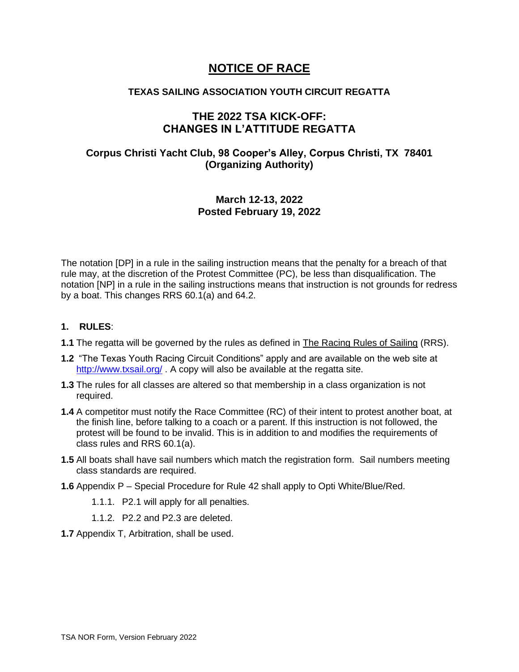# **NOTICE OF RACE**

## **TEXAS SAILING ASSOCIATION YOUTH CIRCUIT REGATTA**

## **THE 2022 TSA KICK-OFF: CHANGES IN L'ATTITUDE REGATTA**

## **Corpus Christi Yacht Club, 98 Cooper's Alley, Corpus Christi, TX 78401 (Organizing Authority)**

## **March 12-13, 2022 Posted February 19, 2022**

The notation [DP] in a rule in the sailing instruction means that the penalty for a breach of that rule may, at the discretion of the Protest Committee (PC), be less than disqualification. The notation [NP] in a rule in the sailing instructions means that instruction is not grounds for redress by a boat. This changes RRS 60.1(a) and 64.2.

### **1. RULES**:

- **1.1** The regatta will be governed by the rules as defined in The Racing Rules of Sailing (RRS).
- **1.2** "The Texas Youth Racing Circuit Conditions" apply and are available on the web site at <http://www.txsail.org/> . A copy will also be available at the regatta site.
- **1.3** The rules for all classes are altered so that membership in a class organization is not required.
- **1.4** A competitor must notify the Race Committee (RC) of their intent to protest another boat, at the finish line, before talking to a coach or a parent. If this instruction is not followed, the protest will be found to be invalid. This is in addition to and modifies the requirements of class rules and RRS 60.1(a).
- **1.5** All boats shall have sail numbers which match the registration form. Sail numbers meeting class standards are required.
- **1.6** Appendix P Special Procedure for Rule 42 shall apply to Opti White/Blue/Red.
	- 1.1.1. P2.1 will apply for all penalties.
	- 1.1.2. P2.2 and P2.3 are deleted.
- **1.7** Appendix T, Arbitration, shall be used.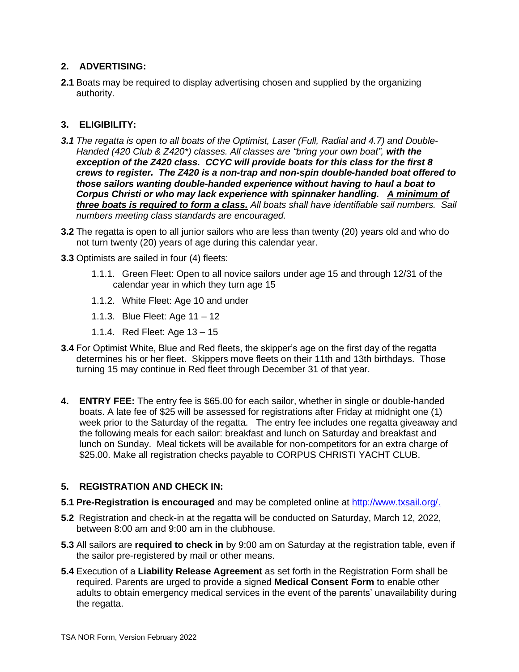## **2. ADVERTISING:**

**2.1** Boats may be required to display advertising chosen and supplied by the organizing authority.

## **3. ELIGIBILITY:**

- *3.1 The regatta is open to all boats of the Optimist, Laser (Full, Radial and 4.7) and Double-Handed (420 Club & Z420\*) classes. All classes are "bring your own boat", with the exception of the Z420 class. CCYC will provide boats for this class for the first 8 crews to register. The Z420 is a non-trap and non-spin double-handed boat offered to those sailors wanting double-handed experience without having to haul a boat to Corpus Christi or who may lack experience with spinnaker handling. A minimum of three boats is required to form a class. All boats shall have identifiable sail numbers. Sail numbers meeting class standards are encouraged.*
- **3.2** The regatta is open to all junior sailors who are less than twenty (20) years old and who do not turn twenty (20) years of age during this calendar year.
- **3.3** Optimists are sailed in four (4) fleets:
	- 1.1.1. Green Fleet: Open to all novice sailors under age 15 and through 12/31 of the calendar year in which they turn age 15
	- 1.1.2. White Fleet: Age 10 and under
	- 1.1.3. Blue Fleet: Age 11 12
	- 1.1.4. Red Fleet: Age 13 15
- **3.4** For Optimist White, Blue and Red fleets, the skipper's age on the first day of the regatta determines his or her fleet. Skippers move fleets on their 11th and 13th birthdays. Those turning 15 may continue in Red fleet through December 31 of that year.
- **4. ENTRY FEE:** The entry fee is \$65.00 for each sailor, whether in single or double-handed boats. A late fee of \$25 will be assessed for registrations after Friday at midnight one (1) week prior to the Saturday of the regatta. The entry fee includes one regatta giveaway and the following meals for each sailor: breakfast and lunch on Saturday and breakfast and lunch on Sunday. Meal tickets will be available for non-competitors for an extra charge of \$25.00. Make all registration checks payable to CORPUS CHRISTI YACHT CLUB.

### **5. REGISTRATION AND CHECK IN:**

- **5.1 Pre-Registration is encouraged** and may be completed online at [http://www.txsail.org/.](http://www.txsail.org/)
- **5.2** Registration and check-in at the regatta will be conducted on Saturday, March 12, 2022, between 8:00 am and 9:00 am in the clubhouse.
- **5.3** All sailors are **required to check in** by 9:00 am on Saturday at the registration table, even if the sailor pre-registered by mail or other means.
- **5.4** Execution of a **Liability Release Agreement** as set forth in the Registration Form shall be required. Parents are urged to provide a signed **Medical Consent Form** to enable other adults to obtain emergency medical services in the event of the parents' unavailability during the regatta.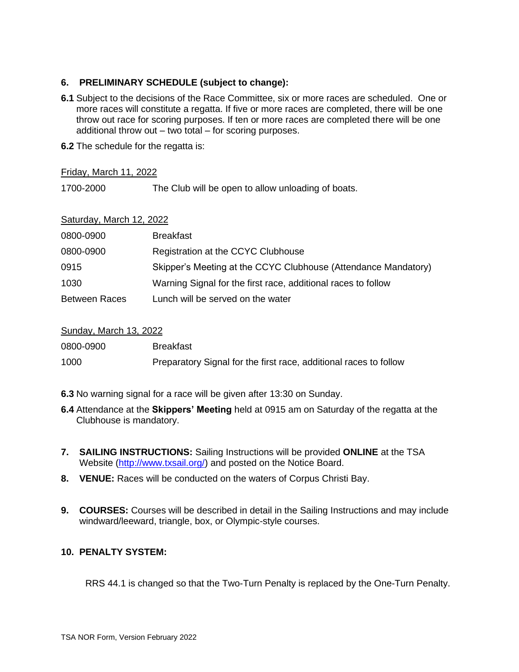## **6. PRELIMINARY SCHEDULE (subject to change):**

- **6.1** Subject to the decisions of the Race Committee, six or more races are scheduled. One or more races will constitute a regatta. If five or more races are completed, there will be one throw out race for scoring purposes. If ten or more races are completed there will be one additional throw out – two total – for scoring purposes.
- **6.2** The schedule for the regatta is:

Friday, March 11, 2022

1700-2000 The Club will be open to allow unloading of boats.

### Saturday, March 12, 2022

| 0800-0900            | <b>Breakfast</b>                                               |
|----------------------|----------------------------------------------------------------|
| 0800-0900            | Registration at the CCYC Clubhouse                             |
| 0915                 | Skipper's Meeting at the CCYC Clubhouse (Attendance Mandatory) |
| 1030                 | Warning Signal for the first race, additional races to follow  |
| <b>Between Races</b> | Lunch will be served on the water                              |

### Sunday, March 13, 2022

| 0800-0900 | <b>Breakfast</b>                                                  |
|-----------|-------------------------------------------------------------------|
| 1000      | Preparatory Signal for the first race, additional races to follow |

- **6.3** No warning signal for a race will be given after 13:30 on Sunday.
- **6.4** Attendance at the **Skippers' Meeting** held at 0915 am on Saturday of the regatta at the Clubhouse is mandatory.
- **7. SAILING INSTRUCTIONS:** Sailing Instructions will be provided **ONLINE** at the TSA Website [\(http://www.txsail.org/\)](http://www.txsail.org/) and posted on the Notice Board.
- **8. VENUE:** Races will be conducted on the waters of Corpus Christi Bay.
- **9. COURSES:** Courses will be described in detail in the Sailing Instructions and may include windward/leeward, triangle, box, or Olympic-style courses.

## **10. PENALTY SYSTEM:**

RRS 44.1 is changed so that the Two-Turn Penalty is replaced by the One-Turn Penalty.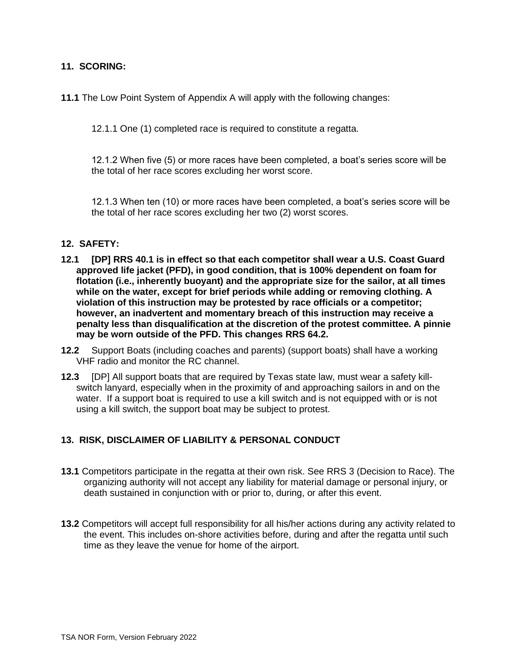### **11. SCORING:**

**11.1** The Low Point System of Appendix A will apply with the following changes:

12.1.1 One (1) completed race is required to constitute a regatta.

12.1.2 When five (5) or more races have been completed, a boat's series score will be the total of her race scores excluding her worst score.

12.1.3 When ten (10) or more races have been completed, a boat's series score will be the total of her race scores excluding her two (2) worst scores.

#### **12. SAFETY:**

- **12.1 [DP] RRS 40.1 is in effect so that each competitor shall wear a U.S. Coast Guard approved life jacket (PFD), in good condition, that is 100% dependent on foam for flotation (i.e., inherently buoyant) and the appropriate size for the sailor, at all times while on the water, except for brief periods while adding or removing clothing. A violation of this instruction may be protested by race officials or a competitor; however, an inadvertent and momentary breach of this instruction may receive a penalty less than disqualification at the discretion of the protest committee. A pinnie may be worn outside of the PFD. This changes RRS 64.2.**
- **12.2** Support Boats (including coaches and parents) (support boats) shall have a working VHF radio and monitor the RC channel.
- **12.3** [DP] All support boats that are required by Texas state law, must wear a safety killswitch lanyard, especially when in the proximity of and approaching sailors in and on the water. If a support boat is required to use a kill switch and is not equipped with or is not using a kill switch, the support boat may be subject to protest.

### **13. RISK, DISCLAIMER OF LIABILITY & PERSONAL CONDUCT**

- **13.1** Competitors participate in the regatta at their own risk. See RRS 3 (Decision to Race). The organizing authority will not accept any liability for material damage or personal injury, or death sustained in conjunction with or prior to, during, or after this event.
- **13.2** Competitors will accept full responsibility for all his/her actions during any activity related to the event. This includes on-shore activities before, during and after the regatta until such time as they leave the venue for home of the airport.